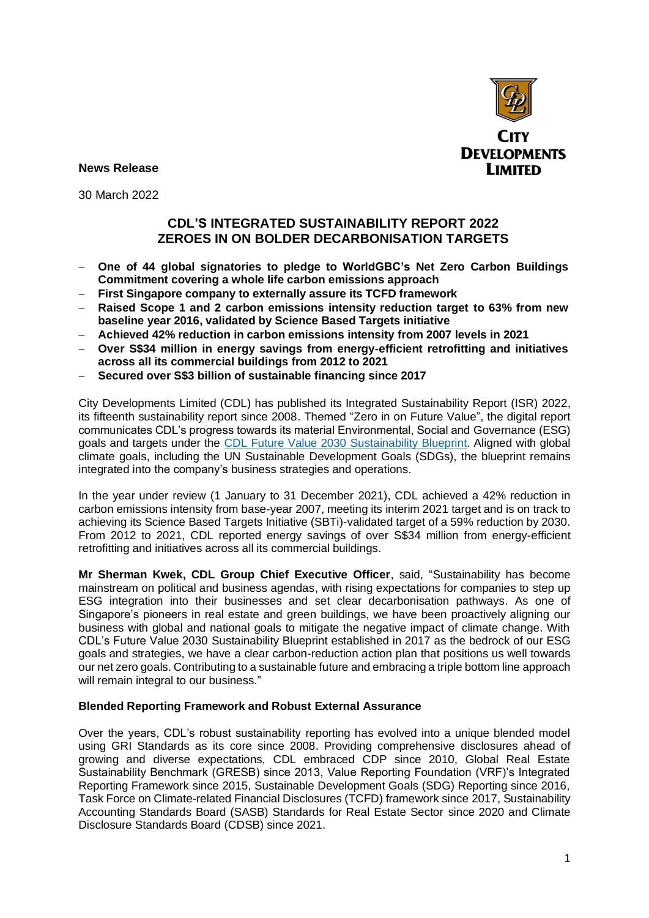

**News Release** 

30 March 2022

## **CDL'S INTEGRATED SUSTAINABILITY REPORT 2022 ZEROES IN ON BOLDER DECARBONISATION TARGETS**

- − **One of 44 global signatories to pledge to WorldGBC's Net Zero Carbon Buildings Commitment covering a whole life carbon emissions approach**
- − **First Singapore company to externally assure its TCFD framework**
- − **Raised Scope 1 and 2 carbon emissions intensity reduction target to 63% from new baseline year 2016, validated by Science Based Targets initiative**
- − **Achieved 42% reduction in carbon emissions intensity from 2007 levels in 2021**
- − **Over S\$34 million in energy savings from energy-efficient retrofitting and initiatives across all its commercial buildings from 2012 to 2021**
- − **Secured over S\$3 billion of sustainable financing since 2017**

City Developments Limited (CDL) has published its Integrated Sustainability Report (ISR) 2022, its fifteenth sustainability report since 2008. Themed "Zero in on Future Value", the digital report communicates CDL's progress towards its material Environmental, Social and Governance (ESG) goals and targets under the [CDL Future Value 2030](http://cdlsustainability.com/cdl-future-value-2030/) Sustainability Blueprint. Aligned with global climate goals, including the UN Sustainable Development Goals (SDGs), the blueprint remains integrated into the company's business strategies and operations.

In the year under review (1 January to 31 December 2021), CDL achieved a 42% reduction in carbon emissions intensity from base-year 2007, meeting its interim 2021 target and is on track to achieving its Science Based Targets Initiative (SBTi)-validated target of a 59% reduction by 2030. From 2012 to 2021, CDL reported energy savings of over S\$34 million from energy-efficient retrofitting and initiatives across all its commercial buildings.

**Mr Sherman Kwek, CDL Group Chief Executive Officer**, said, "Sustainability has become mainstream on political and business agendas, with rising expectations for companies to step up ESG integration into their businesses and set clear decarbonisation pathways. As one of Singapore's pioneers in real estate and green buildings, we have been proactively aligning our business with global and national goals to mitigate the negative impact of climate change. With CDL's Future Value 2030 Sustainability Blueprint established in 2017 as the bedrock of our ESG goals and strategies, we have a clear carbon-reduction action plan that positions us well towards our net zero goals. Contributing to a sustainable future and embracing a triple bottom line approach will remain integral to our business."

## **Blended Reporting Framework and Robust External Assurance**

Over the years, CDL's robust sustainability reporting has evolved into a unique blended model using GRI Standards as its core since 2008. Providing comprehensive disclosures ahead of growing and diverse expectations, CDL embraced CDP since 2010, Global Real Estate Sustainability Benchmark (GRESB) since 2013, Value Reporting Foundation (VRF)'s Integrated Reporting Framework since 2015, Sustainable Development Goals (SDG) Reporting since 2016, Task Force on Climate-related Financial Disclosures (TCFD) framework since 2017, Sustainability Accounting Standards Board (SASB) Standards for Real Estate Sector since 2020 and Climate Disclosure Standards Board (CDSB) since 2021.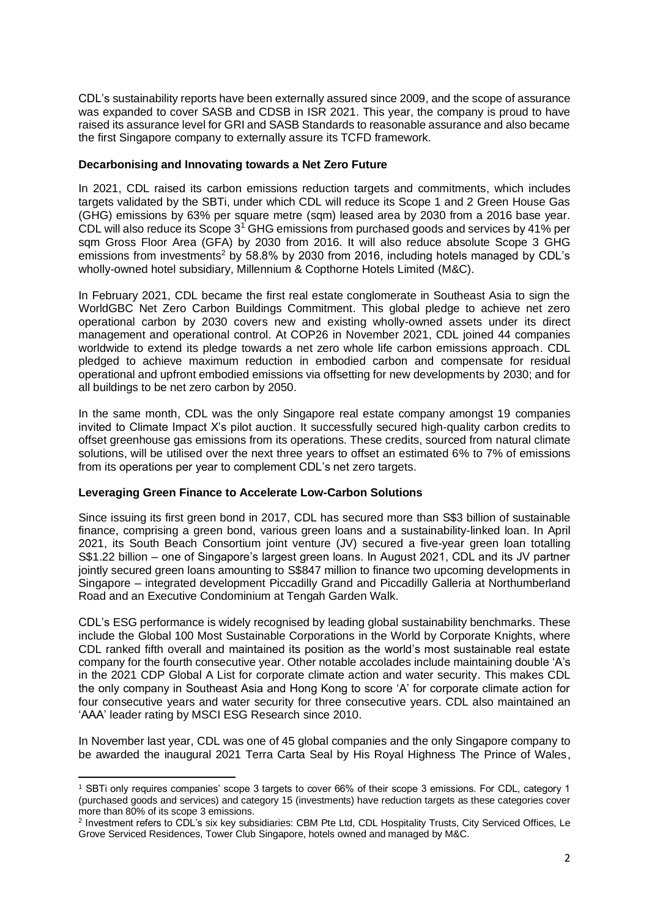CDL's sustainability reports have been externally assured since 2009, and the scope of assurance was expanded to cover SASB and CDSB in ISR 2021. This year, the company is proud to have raised its assurance level for GRI and SASB Standards to reasonable assurance and also became the first Singapore company to externally assure its TCFD framework.

## **Decarbonising and Innovating towards a Net Zero Future**

In 2021, CDL raised its carbon emissions reduction targets and commitments, which includes targets validated by the SBTi, under which CDL will reduce its Scope 1 and 2 Green House Gas (GHG) emissions by 63% per square metre (sqm) leased area by 2030 from a 2016 base year. CDL will also reduce its Scope  $3<sup>1</sup>$  GHG emissions from purchased goods and services by 41% per sqm Gross Floor Area (GFA) by 2030 from 2016. It will also reduce absolute Scope 3 GHG emissions from investments<sup>2</sup> by 58.8% by 2030 from 2016, including hotels managed by CDL's wholly-owned hotel subsidiary, Millennium & Copthorne Hotels Limited (M&C).

In February 2021, [CDL became the first real estate conglomerate in Southeast Asia to sign the](https://cdl.com.sg/newsroom/cdl-pledges-net-zero-operations-by-2030-first-singapore-real-estate-developer-signatory-of-worldgbc-commitment)  [WorldGBC Net Zero Carbon Buildings Commitment.](https://cdl.com.sg/newsroom/cdl-pledges-net-zero-operations-by-2030-first-singapore-real-estate-developer-signatory-of-worldgbc-commitment) This global pledge to achieve net zero operational carbon by 2030 covers new and existing wholly-owned assets under its direct management and operational control. At COP26 in November 2021, CDL joined 44 companies worldwide to extend its pledge towards a net zero whole life carbon emissions approach. CDL pledged to achieve maximum reduction in embodied carbon and compensate for residual operational and upfront embodied emissions via offsetting for new developments by 2030; and for all buildings to be net zero carbon by 2050.

In the same month, CDL was the only Singapore real estate company amongst 19 companies invited to Climate Impact X's pilot auction. It successfully secured high-quality carbon credits to offset greenhouse gas emissions from its operations. These credits, sourced from natural climate solutions, will be utilised over the next three years to offset an estimated 6% to 7% of emissions from its operations per year to complement CDL's net zero targets.

## **Leveraging Green Finance to Accelerate Low-Carbon Solutions**

Since issuing its first green bond in 2017, CDL has secured more than S\$3 billion of sustainable finance, comprising a green bond, various green loans and a sustainability-linked loan. In April 2021, its South Beach Consortium joint venture (JV) secured a five-year green loan totalling S\$1.22 billion – one of Singapore's largest green loans. In August 2021, CDL and its JV partner jointly secured green loans amounting to S\$847 million to finance two upcoming developments in Singapore – integrated development Piccadilly Grand and Piccadilly Galleria at Northumberland Road and an Executive Condominium at Tengah Garden Walk.

CDL's ESG performance is widely recognised by leading global sustainability benchmarks. These include the Global 100 Most Sustainable Corporations in the World by Corporate Knights, where CDL ranked fifth overall and maintained its position as the world's most sustainable real estate company for the fourth consecutive year. Other notable accolades include maintaining double 'A's in the 2021 CDP Global A List for corporate climate action and water security. This makes CDL the only company in Southeast Asia and Hong Kong to score 'A' for corporate climate action for four consecutive years and water security for three consecutive years. CDL also maintained an 'AAA' leader rating by MSCI ESG Research since 2010.

In November last year, CDL was one of 45 global companies and the only Singapore company to be awarded the inaugural 2021 Terra Carta Seal by His Royal Highness The Prince of Wales,

<sup>1</sup> SBTi only requires companies' scope 3 targets to cover 66% of their scope 3 emissions. For CDL, category 1 (purchased goods and services) and category 15 (investments) have reduction targets as these categories cover more than 80% of its scope 3 emissions.

<sup>2</sup> Investment refers to CDL's six key subsidiaries: CBM Pte Ltd, CDL Hospitality Trusts, City Serviced Offices, Le Grove Serviced Residences, Tower Club Singapore, hotels owned and managed by M&C.